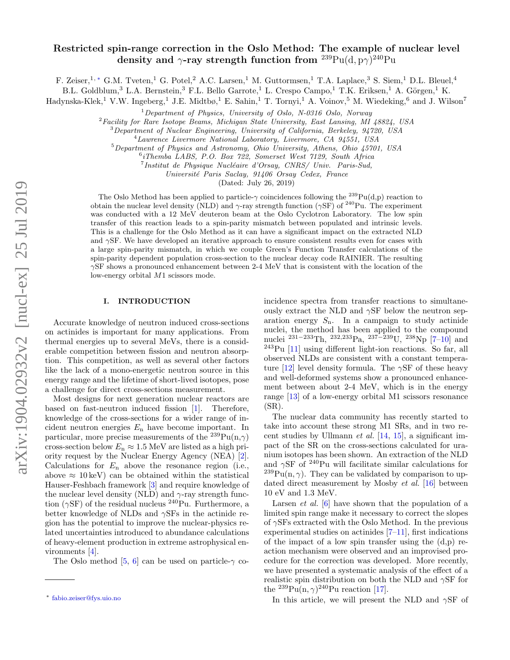# Restricted spin-range correction in the Oslo Method: The example of nuclear level density and  $\gamma$ -ray strength function from  $^{239}\mathrm{Pu}(\mathrm{d},\mathrm{p}\gamma)^{240}\mathrm{Pu}$

F. Zeiser,<sup>1,</sup> [∗](#page-0-0) G.M. Tveten,<sup>1</sup> G. Potel,<sup>2</sup> A.C. Larsen,<sup>1</sup> M. Guttormsen,<sup>1</sup> T.A. Laplace,<sup>3</sup> S. Siem,<sup>1</sup> D.L. Bleuel,<sup>4</sup>

B.L. Goldblum,<sup>3</sup> L.A. Bernstein,<sup>3</sup> F.L. Bello Garrote,<sup>1</sup> L. Crespo Campo,<sup>1</sup> T.K. Eriksen,<sup>1</sup> A. Görgen,<sup>1</sup> K.

Hadynska-Klek,<sup>1</sup> V.W. Ingeberg,<sup>1</sup> J.E. Midtbø,<sup>1</sup> E. Sahin,<sup>1</sup> T. Tornyi,<sup>1</sup> A. Voinov,<sup>5</sup> M. Wiedeking,<sup>6</sup> and J. Wilson<sup>7</sup>

 $1$ Department of Physics, University of Oslo, N-0316 Oslo, Norway

<sup>2</sup>Facility for Rare Isotope Beams, Michigan State University, East Lansing, MI 48824, USA

<sup>3</sup>Department of Nuclear Engineering, University of California, Berkeley, 94720, USA

<sup>4</sup>Lawrence Livermore National Laboratory, Livermore, CA 94551, USA

<sup>5</sup>Department of Physics and Astronomy, Ohio University, Athens, Ohio 45701, USA

6 iThemba LABS, P.O. Box 722, Somerset West 7129, South Africa

<sup>7</sup> Institut de Physique Nucléaire d'Orsay, CNRS/ Univ. Paris-Sud,

Universit´e Paris Saclay, 91406 Orsay Cedex, France

(Dated: July 26, 2019)

The Oslo Method has been applied to particle- $\gamma$  coincidences following the <sup>239</sup>Pu(d,p) reaction to obtain the nuclear level density (NLD) and  $\gamma$ -ray strength function ( $\gamma$ SF) of <sup>240</sup>Pu. The experiment was conducted with a 12 MeV deuteron beam at the Oslo Cyclotron Laboratory. The low spin transfer of this reaction leads to a spin-parity mismatch between populated and intrinsic levels. This is a challenge for the Oslo Method as it can have a significant impact on the extracted NLD and  $\gamma$ SF. We have developed an iterative approach to ensure consistent results even for cases with a large spin-parity mismatch, in which we couple Green's Function Transfer calculations of the spin-parity dependent population cross-section to the nuclear decay code RAINIER. The resulting  $\gamma$ SF shows a pronounced enhancement between 2-4 MeV that is consistent with the location of the low-energy orbital M1 scissors mode.

## I. INTRODUCTION

Accurate knowledge of neutron induced cross-sections on actinides is important for many applications. From thermal energies up to several MeVs, there is a considerable competition between fission and neutron absorption. This competition, as well as several other factors like the lack of a mono-energetic neutron source in this energy range and the lifetime of short-lived isotopes, pose a challenge for direct cross-sections measurement.

Most designs for next generation nuclear reactors are based on fast-neutron induced fission [\[1\]](#page-8-0). Therefore, knowledge of the cross-sections for a wider range of incident neutron energies  $E_n$  have become important. In particular, more precise measurements of the  $^{239}Pu(n,\gamma)$ cross-section below  $E_n \approx 1.5$  MeV are listed as a high priority request by the Nuclear Energy Agency (NEA) [\[2\]](#page-8-1). Calculations for  $E_n$  above the resonance region (i.e., above  $\approx 10 \,\text{keV}$  can be obtained within the statistical Hauser-Feshbach framework [\[3\]](#page-8-2) and require knowledge of the nuclear level density (NLD) and  $\gamma$ -ray strength function ( $\gamma$ SF) of the residual nucleus <sup>240</sup>Pu. Furthermore, a better knowledge of NLDs and  $\gamma$ SFs in the actinide region has the potential to improve the nuclear-physics related uncertainties introduced to abundance calculations of heavy-element production in extreme astrophysical environments [\[4\]](#page-8-3).

The Oslo method [\[5,](#page-8-4) [6\]](#page-8-5) can be used on particle- $\gamma$  co-

incidence spectra from transfer reactions to simultaneously extract the NLD and  $\gamma$ SF below the neutron separation energy  $S_n$ . In a campaign to study actinide nuclei, the method has been applied to the compound nuclei <sup>231−233</sup>Th, <sup>232,233</sup>Pa, <sup>237−239</sup>U, <sup>238</sup>Np [\[7](#page-8-6)[–10\]](#page-8-7) and <sup>243</sup>Pu [\[11\]](#page-8-8) using different light-ion reactions. So far, all observed NLDs are consistent with a constant tempera-ture [\[12\]](#page-8-9) level density formula. The  $\gamma$ SF of these heavy and well-deformed systems show a pronounced enhancement between about 2-4 MeV, which is in the energy range [\[13\]](#page-8-10) of a low-energy orbital M1 scissors resonance (SR).

The nuclear data community has recently started to take into account these strong M1 SRs, and in two recent studies by Ullmann  $et$  al. [\[14,](#page-8-11) [15\]](#page-8-12), a significant impact of the SR on the cross-sections calculated for uranium isotopes has been shown. An extraction of the NLD and  $\gamma$ SF of <sup>240</sup>Pu will facilitate similar calculations for <sup>239</sup>Pu(n,  $\gamma$ ). They can be validated by comparison to updated direct measurement by Mosby et al. [\[16\]](#page-8-13) between 10 eV and 1.3 MeV.

Larsen *et al.* [\[6\]](#page-8-5) have shown that the population of a limited spin range make it necessary to correct the slopes of  $\gamma$ SFs extracted with the Oslo Method. In the previous experimental studies on actinides [\[7](#page-8-6)[–11\]](#page-8-8), first indications of the impact of a low spin transfer using the (d,p) reaction mechanism were observed and an improvised procedure for the correction was developed. More recently, we have presented a systematic analysis of the effect of a realistic spin distribution on both the NLD and  $\gamma$ SF for the  $^{239}Pu(n, \gamma)^{240}Pu$  reaction [\[17\]](#page-8-14).

In this article, we will present the NLD and  $\gamma$ SF of

<span id="page-0-0"></span><sup>∗</sup> [fabio.zeiser@fys.uio.no](mailto:fabio.zeiser@fys.uio.no)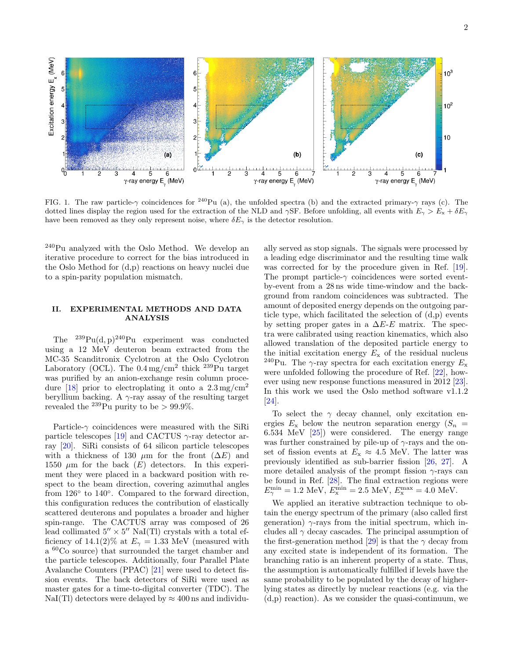

<span id="page-1-0"></span>FIG. 1. The raw particle- $\gamma$  coincidences for <sup>240</sup>Pu (a), the unfolded spectra (b) and the extracted primary- $\gamma$  rays (c). The dotted lines display the region used for the extraction of the NLD and  $\gamma$ SF. Before unfolding, all events with  $E_{\gamma} > E_{\rm x} + \delta E_{\gamma}$ have been removed as they only represent noise, where  $\delta E_{\gamma}$  is the detector resolution.

<sup>240</sup>Pu analyzed with the Oslo Method. We develop an iterative procedure to correct for the bias introduced in the Oslo Method for (d,p) reactions on heavy nuclei due to a spin-parity population mismatch.

# <span id="page-1-1"></span>II. EXPERIMENTAL METHODS AND DATA ANALYSIS

The  $^{239}Pu(d, p)^{240}Pu$  experiment was conducted using a 12 MeV deuteron beam extracted from the MC-35 Scanditronix Cyclotron at the Oslo Cyclotron Laboratory (OCL). The  $0.4 \,\mathrm{mg/cm^2}$  thick  $239 \,\mathrm{Pu}$  target was purified by an anion-exchange resin column proce-dure [\[18\]](#page-8-15) prior to electroplating it onto a  $2.3 \,\mathrm{mg/cm^2}$ beryllium backing. A  $\gamma$ -ray assay of the resulting target revealed the  $^{239}$ Pu purity to be > 99.9%.

Particle- $\gamma$  coincidences were measured with the SiRi particle telescopes [\[19\]](#page-8-16) and CACTUS  $\gamma$ -ray detector array [\[20\]](#page-8-17). SiRi consists of 64 silicon particle telescopes with a thickness of 130  $\mu$ m for the front ( $\Delta E$ ) and 1550  $\mu$ m for the back  $(E)$  detectors. In this experiment they were placed in a backward position with respect to the beam direction, covering azimuthal angles from 126<sup>°</sup> to 140<sup>°</sup>. Compared to the forward direction, this configuration reduces the contribution of elastically scattered deuterons and populates a broader and higher spin-range. The CACTUS array was composed of 26 lead collimated  $5'' \times 5''$  NaI(Tl) crystals with a total efficiency of 14.1(2)% at  $E_{\gamma} = 1.33$  MeV (measured with a <sup>60</sup>Co source) that surrounded the target chamber and the particle telescopes. Additionally, four Parallel Plate Avalanche Counters (PPAC) [\[21\]](#page-8-18) were used to detect fission events. The back detectors of SiRi were used as master gates for a time-to-digital converter (TDC). The NaI(Tl) detectors were delayed by  $\approx 400 \text{ ns}$  and individu-

ally served as stop signals. The signals were processed by a leading edge discriminator and the resulting time walk was corrected for by the procedure given in Ref. [\[19\]](#page-8-16). The prompt particle- $\gamma$  coincidences were sorted eventby-event from a 28 ns wide time-window and the background from random coincidences was subtracted. The amount of deposited energy depends on the outgoing particle type, which facilitated the selection of (d,p) events by setting proper gates in a  $\Delta E$ -E matrix. The spectra were calibrated using reaction kinematics, which also allowed translation of the deposited particle energy to the initial excitation energy  $E_x$  of the residual nucleus <sup>240</sup>Pu. The  $\gamma$ -ray spectra for each excitation energy  $E_{\rm x}$ were unfolded following the procedure of Ref. [\[22\]](#page-8-19), however using new response functions measured in 2012 [\[23\]](#page-8-20). In this work we used the Oslo method software v1.1.2 [\[24\]](#page-8-21).

To select the  $\gamma$  decay channel, only excitation energies  $E_x$  below the neutron separation energy  $(S_n =$ 6.534 MeV [\[25\]](#page-8-22)) were considered. The energy range was further constrained by pile-up of  $\gamma$ -rays and the onset of fission events at  $E_x \approx 4.5$  MeV. The latter was previously identified as sub-barrier fission [\[26,](#page-8-23) [27\]](#page-8-24). A more detailed analysis of the prompt fission  $\gamma$ -rays can be found in Ref. [\[28\]](#page-8-25). The final extraction regions were  $E_{\gamma}^{\min} = 1.2 \text{ MeV}, E_{\text{x}}^{\min} = 2.5 \text{ MeV}, E_{\text{x}}^{\max} = 4.0 \text{ MeV}.$ 

We applied an iterative subtraction technique to obtain the energy spectrum of the primary (also called first generation)  $\gamma$ -rays from the initial spectrum, which includes all  $\gamma$  decay cascades. The principal assumption of the first-generation method [\[29\]](#page-8-26) is that the  $\gamma$  decay from any excited state is independent of its formation. The branching ratio is an inherent property of a state. Thus, the assumption is automatically fulfilled if levels have the same probability to be populated by the decay of higherlying states as directly by nuclear reactions (e.g. via the (d,p) reaction). As we consider the quasi-continuum, we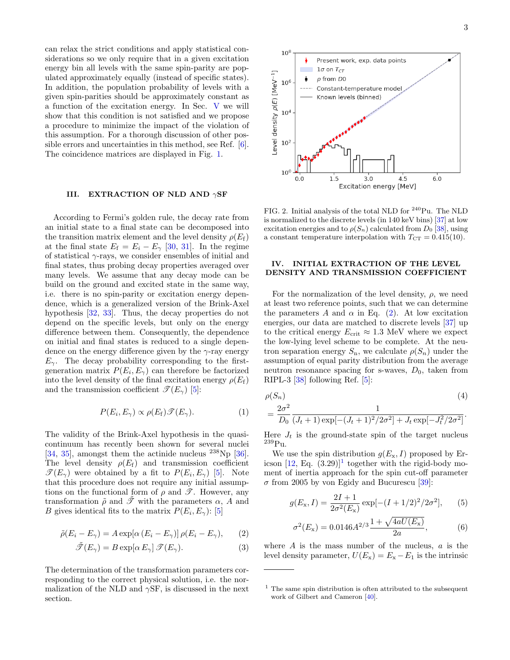can relax the strict conditions and apply statistical considerations so we only require that in a given excitation energy bin all levels with the same spin-parity are populated approximately equally (instead of specific states). In addition, the population probability of levels with a given spin-parities should be approximately constant as a function of the excitation energy. In Sec. [V](#page-3-0) we will show that this condition is not satisfied and we propose a procedure to minimize the impact of the violation of this assumption. For a thorough discussion of other possible errors and uncertainties in this method, see Ref. [\[6\]](#page-8-5). The coincidence matrices are displayed in Fig. [1.](#page-1-0)

## III. EXTRACTION OF NLD AND  $\gamma$ SF

According to Fermi's golden rule, the decay rate from an initial state to a final state can be decomposed into the transition matrix element and the level density  $\rho(E_f)$ at the final state  $E_f = E_i - E_\gamma$  [\[30,](#page-8-27) [31\]](#page-8-28). In the regime of statistical  $\gamma$ -rays, we consider ensembles of initial and final states, thus probing decay properties averaged over many levels. We assume that any decay mode can be build on the ground and excited state in the same way, i.e. there is no spin-parity or excitation energy dependence, which is a generalized version of the Brink-Axel hypothesis [\[32,](#page-8-29) [33\]](#page-8-30). Thus, the decay properties do not depend on the specific levels, but only on the energy difference between them. Consequently, the dependence on initial and final states is reduced to a single dependence on the energy difference given by the  $\gamma$ -ray energy  $E_{\gamma}$ . The decay probability corresponding to the firstgeneration matrix  $P(E_i, E_\gamma)$  can therefore be factorized into the level density of the final excitation energy  $\rho(E_f)$ and the transmission coefficient  $\mathscr{T}(E_\gamma)$  [\[5\]](#page-8-4):

$$
P(E_i, E_\gamma) \propto \rho(E_f) \mathcal{F}(E_\gamma). \tag{1}
$$

The validity of the Brink-Axel hypothesis in the quasicontinuum has recently been shown for several nuclei [\[34,](#page-8-31) [35\]](#page-9-0), amongst them the actinide nucleus  $^{238}\text{Np}$  [\[36\]](#page-9-1). The level density  $\rho(E_f)$  and transmission coefficient  $\mathscr{T}(E_\gamma)$  were obtained by a fit to  $P(E_i, E_\gamma)$  [\[5\]](#page-8-4). Note that this procedure does not require any initial assumptions on the functional form of  $\rho$  and  $\mathscr{T}$ . However, any transformation  $\tilde{\rho}$  and  $\tilde{\mathscr{T}}$  with the parameters  $\alpha$ , A and B gives identical fits to the matrix  $P(E_i, E_\gamma)$ : [\[5\]](#page-8-4)

$$
\tilde{\rho}(E_i - E_\gamma) = A \exp[\alpha (E_i - E_\gamma)] \rho(E_i - E_\gamma), \qquad (2)
$$

$$
\tilde{\mathcal{I}}(E_{\gamma}) = B \exp[\alpha E_{\gamma}] \mathcal{I}(E_{\gamma}). \tag{3}
$$

The determination of the transformation parameters corresponding to the correct physical solution, i.e. the normalization of the NLD and  $\gamma$ SF, is discussed in the next section.



<span id="page-2-2"></span>FIG. 2. Initial analysis of the total NLD for <sup>240</sup>Pu. The NLD is normalized to the discrete levels (in 140 keV bins) [\[37\]](#page-9-2) at low excitation energies and to  $\rho(S_n)$  calculated from  $D_0$  [\[38\]](#page-9-3), using a constant temperature interpolation with  $T_{CT} = 0.415(10)$ .

### <span id="page-2-3"></span>IV. INITIAL EXTRACTION OF THE LEVEL DENSITY AND TRANSMISSION COEFFICIENT

For the normalization of the level density,  $\rho$ , we need at least two reference points, such that we can determine the parameters A and  $\alpha$  in Eq. [\(2\)](#page-2-0). At low excitation energies, our data are matched to discrete levels [\[37\]](#page-9-2) up to the critical energy  $E_{\text{crit}} \approx 1.3 \text{ MeV}$  where we expect the low-lying level scheme to be complete. At the neutron separation energy  $S_n$ , we calculate  $\rho(S_n)$  under the assumption of equal parity distribution from the average neutron resonance spacing for s-waves,  $D_0$ , taken from RIPL-3 [\[38\]](#page-9-3) following Ref. [\[5\]](#page-8-4):

$$
\rho(S_n) \tag{4}
$$
\n
$$
= \frac{2\sigma^2}{D_0} \frac{1}{(J_t + 1)\exp[-(J_t + 1)^2/2\sigma^2] + J_t \exp[-J_t^2/2\sigma^2]}.
$$

Here  $J_t$  is the ground-state spin of the target nucleus <sup>239</sup>Pu.

We use the spin distribution  $g(E_{x}, I)$  proposed by Ericson  $[12, Eq. (3.29)]<sup>1</sup>$  $[12, Eq. (3.29)]<sup>1</sup>$  $[12, Eq. (3.29)]<sup>1</sup>$  together with the rigid-body moment of inertia approach for the spin cut-off parameter  $\sigma$  from 2005 by von Egidy and Bucurescu [\[39\]](#page-9-4):

<span id="page-2-4"></span>
$$
g(E_{\rm x}, I) = \frac{2I + 1}{2\sigma^2(E_{\rm x})} \exp[-(I + 1/2)^2/2\sigma^2], \qquad (5)
$$

<span id="page-2-5"></span>
$$
\sigma^{2}(E_{x}) = 0.0146A^{2/3}\frac{1+\sqrt{4aU(E_{x})}}{2a},
$$
\n(6)

<span id="page-2-0"></span>where  $A$  is the mass number of the nucleus,  $a$  is the level density parameter,  $U(E_{x}) = E_{x} - E_{1}$  is the intrinsic

<span id="page-2-1"></span> $<sup>1</sup>$  The same spin distribution is often attributed to the subsequent</sup> work of Gilbert and Cameron [\[40\]](#page-9-5).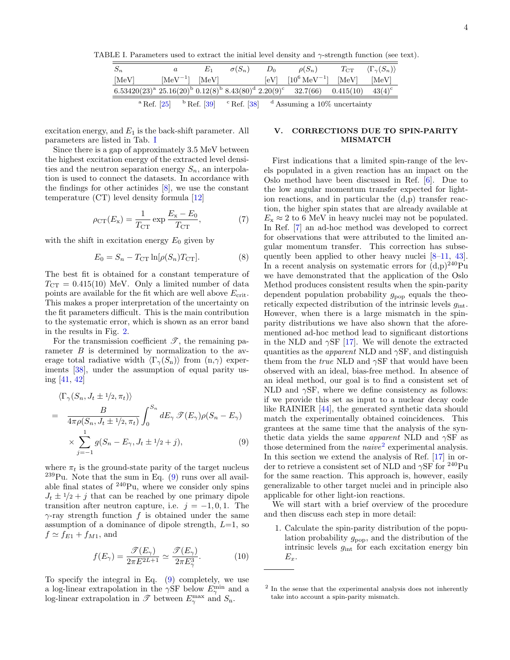TABLE I. Parameters used to extract the initial level density and  $\gamma$ -strength function (see text).

<span id="page-3-1"></span>

| $S_n$ | a                    | $\sigma(S_n)$ | $D_0$ | $\rho(S_n)$                                                                               | $T_{\rm CT}$ | $\langle \Gamma_{\gamma}(S_n) \rangle$ |
|-------|----------------------|---------------|-------|-------------------------------------------------------------------------------------------|--------------|----------------------------------------|
| [MeV] | $[MeV^{-1}]$ $[MeV]$ |               |       | $[eV]$ $[10^6 \text{ MeV}^{-1}]$ $[\text{MeV}]$                                           |              | [MeV]                                  |
|       |                      |               |       | $6.53420(23)^a$ $25.16(20)^b$ $0.12(8)^b$ $8.43(80)^d$ $2.20(9)^c$ $32.7(66)$ $0.415(10)$ |              | $43(4)^c$                              |
|       | $^{\circ}$ Ref. [25] |               |       | <sup>b</sup> Ref. [39] <sup>c</sup> Ref. [38] <sup>d</sup> Assuming a 10% uncertainty     |              |                                        |

excitation energy, and  $E_1$  is the back-shift parameter. All parameters are listed in Tab. [I](#page-3-1)

Since there is a gap of approximately 3.5 MeV between the highest excitation energy of the extracted level densities and the neutron separation energy  $S_n$ , an interpolation is used to connect the datasets. In accordance with the findings for other actinides [\[8\]](#page-8-32), we use the constant temperature (CT) level density formula [\[12\]](#page-8-9)

$$
\rho_{\rm CT}(E_x) = \frac{1}{T_{\rm CT}} \exp \frac{E_x - E_0}{T_{\rm CT}},\tag{7}
$$

with the shift in excitation energy  $E_0$  given by

$$
E_0 = S_n - T_{\text{CT}} \ln[\rho(S_n) T_{\text{CT}}]. \tag{8}
$$

The best fit is obtained for a constant temperature of  $T_{\text{CT}} = 0.415(10)$  MeV. Only a limited number of data points are available for the fit which are well above  $E_{\text{crit}}$ . This makes a proper interpretation of the uncertainty on the fit parameters difficult. This is the main contribution to the systematic error, which is shown as an error band in the results in Fig. [2.](#page-2-2)

For the transmission coefficient  $\mathscr{T}$ , the remaining parameter  $B$  is determined by normalization to the average total radiative width  $\langle \Gamma_{\gamma}(S_n) \rangle$  from  $(n,\gamma)$  experiments [\[38\]](#page-9-3), under the assumption of equal parity using [\[41,](#page-9-6) [42\]](#page-9-7)

$$
\langle \Gamma_{\gamma}(S_n, J_t \pm 1/2, \pi_t) \rangle
$$
  
= 
$$
\frac{B}{4\pi \rho(S_n, J_t \pm 1/2, \pi_t)} \int_0^{S_n} dE_{\gamma} \mathcal{F}(E_{\gamma}) \rho(S_n - E_{\gamma})
$$
  

$$
\times \sum_{j=-1}^1 g(S_n - E_{\gamma}, J_t \pm 1/2 + j), \qquad (9)
$$

where  $\pi_t$  is the ground-state parity of the target nucleus  $239$ Pu. Note that the sum in Eq.  $(9)$  runs over all available final states of  $240$ Pu, where we consider only spins  $J_t \pm 1/2 + i$  that can be reached by one primary dipole transition after neutron capture, i.e.  $j = -1, 0, 1$ . The  $\gamma$ -ray strength function f is obtained under the same assumption of a dominance of dipole strength,  $L=1$ , so  $f \simeq f_{E1} + f_{M1}$ , and

$$
f(E_{\gamma}) = \frac{\mathcal{I}(E_{\gamma})}{2\pi E^{2L+1}} \simeq \frac{\mathcal{I}(E_{\gamma})}{2\pi E_{\gamma}^{3}}.
$$
 (10)

To specify the integral in Eq. [\(9\)](#page-3-2) completely, we use a log-linear extrapolation in the  $\gamma$ SF below  $E_{\gamma}^{\min}$  and a log-linear extrapolation in  $\mathscr{T}$  between  $E_{\gamma}^{\max}$  and  $S_{\text{n}}$ .

# <span id="page-3-0"></span>V. CORRECTIONS DUE TO SPIN-PARITY MISMATCH

First indications that a limited spin-range of the levels populated in a given reaction has an impact on the Oslo method have been discussed in Ref. [\[6\]](#page-8-5). Due to the low angular momentum transfer expected for lightion reactions, and in particular the (d,p) transfer reaction, the higher spin states that are already available at  $E_{\rm x} \approx 2$  to 6 MeV in heavy nuclei may not be populated. In Ref. [\[7\]](#page-8-6) an ad-hoc method was developed to correct for observations that were attributed to the limited angular momentum transfer. This correction has subsequently been applied to other heavy nuclei [\[8–](#page-8-32)[11,](#page-8-8) [43\]](#page-9-8). In a recent analysis on systematic errors for  $(d,p)^{240}Pu$ we have demonstrated that the application of the Oslo Method produces consistent results when the spin-parity dependent population probability  $g_{\text{pop}}$  equals the theoretically expected distribution of the intrinsic levels  $g_{\text{int}}$ . However, when there is a large mismatch in the spinparity distributions we have also shown that the aforementioned ad-hoc method lead to significant distortions in the NLD and  $\gamma$ SF [\[17\]](#page-8-14). We will denote the extracted quantities as the *apparent* NLD and  $\gamma$ SF, and distinguish them from the *true* NLD and  $\gamma$ SF that would have been observed with an ideal, bias-free method. In absence of an ideal method, our goal is to find a consistent set of NLD and  $\gamma$ SF, where we define consistency as follows: if we provide this set as input to a nuclear decay code like RAINIER [\[44\]](#page-9-9), the generated synthetic data should match the experimentally obtained coincidences. This grantees at the same time that the analysis of the synthetic data yields the same *apparent* NLD and  $\gamma$ SF as those determined from the  $naive<sup>2</sup>$  $naive<sup>2</sup>$  $naive<sup>2</sup>$  experimental analysis. In this section we extend the analysis of Ref. [\[17\]](#page-8-14) in order to retrieve a consistent set of NLD and  $\gamma$ SF for <sup>240</sup>Pu for the same reaction. This approach is, however, easily generalizable to other target nuclei and in principle also applicable for other light-ion reactions.

<span id="page-3-2"></span>We will start with a brief overview of the procedure and then discuss each step in more detail:

1. Calculate the spin-parity distribution of the population probability  $g_{\text{pop}}$ , and the distribution of the intrinsic levels  $g_{\text{int}}$  for each excitation energy bin  $E_x$ .

<span id="page-3-3"></span><sup>2</sup> In the sense that the experimental analysis does not inherently take into account a spin-parity mismatch.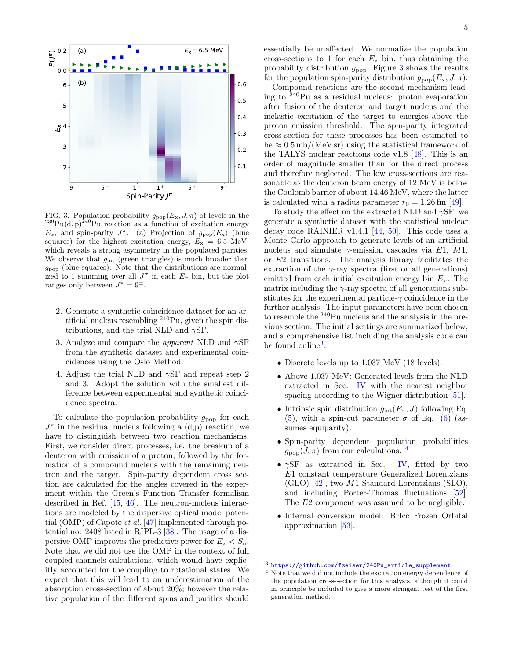

<span id="page-4-0"></span>FIG. 3. Population probability  $g_{\text{pop}}(E_{\rm x}, J, \pi)$  of levels in the  $^{239}\text{Pu}(\text{d}, \text{p})$ <sup>240</sup>Pu reaction as a function of excitation energy  $E_x$ , and spin-parity  $J^{\pi}$ . (a) Projection of  $g_{\text{pop}}(E_x)$  (blue squares) for the highest excitation energy,  $E_x = 6.5$  MeV, which reveals a strong asymmetry in the populated parities. We observe that  $g_{\text{int}}$  (green triangles) is much broader then  $g_{\text{pop}}$  (blue squares). Note that the distributions are normalized to 1 summing over all  $J^{\pi}$  in each  $E_x$  bin, but the plot ranges only between  $J^{\pi} = 9^{\pm}$ .

- 2. Generate a synthetic coincidence dataset for an artificial nucleus resembling  $240$ Pu, given the spin distributions, and the trial NLD and  $\gamma$ SF.
- 3. Analyze and compare the *apparent* NLD and  $\gamma$ SF from the synthetic dataset and experimental coincidences using the Oslo Method.
- 4. Adjust the trial NLD and  $\gamma$ SF and repeat step 2 and 3. Adopt the solution with the smallest difference between experimental and synthetic coincidence spectra.

To calculate the population probability  $g_{\text{pop}}$  for each  $J^{\pi}$  in the residual nucleus following a  $(d,p)$  reaction, we have to distinguish between two reaction mechanisms. First, we consider direct processes, i.e. the breakup of a deuteron with emission of a proton, followed by the formation of a compound nucleus with the remaining neutron and the target. Spin-parity dependent cross section are calculated for the angles covered in the experiment within the Green's Function Transfer formalism described in Ref. [\[45,](#page-9-10) [46\]](#page-9-11). The neutron-nucleus interactions are modeled by the dispersive optical model potential (OMP) of Capote et al. [\[47\]](#page-9-12) implemented through potential no. 2408 listed in RIPL-3 [\[38\]](#page-9-3). The usage of a dispersive OMP improves the predictive power for  $E_x < S_n$ . Note that we did not use the OMP in the context of full coupled-channels calculations, which would have explicitly accounted for the coupling to rotational states. We expect that this will lead to an underestimation of the absorption cross-section of about 20%; however the relative population of the different spins and parities should

essentially be unaffected. We normalize the population cross-sections to 1 for each  $E_x$  bin, thus obtaining the probability distribution  $g_{\text{pop}}$ . Figure [3](#page-4-0) shows the results for the population spin-parity distribution  $g_{\text{pop}}(E_{\rm x}, J, \pi)$ .

Compound reactions are the second mechanism leading to  $240$ Pu as a residual nucleus: proton evaporation after fusion of the deuteron and target nucleus and the inelastic excitation of the target to energies above the proton emission threshold. The spin-parity integrated cross-section for these processes has been estimated to  $be \approx 0.5 \text{ mb/(MeV sr)}$  using the statistical framework of the TALYS nuclear reactions code v1.8 [\[48\]](#page-9-13). This is an order of magnitude smaller than for the direct process and therefore neglected. The low cross-sections are reasonable as the deuteron beam energy of 12 MeV is below the Coulomb barrier of about 14.46 MeV, where the latter is calculated with a radius parameter  $r_0 = 1.26$  fm [\[49\]](#page-9-14).

To study the effect on the extracted NLD and  $\gamma$ SF, we generate a synthetic dataset with the statistical nuclear decay code RAINIER v1.4.1 [\[44,](#page-9-9) [50\]](#page-9-15). This code uses a Monte Carlo approach to generate levels of an artificial nucleus and simulate  $\gamma$ -emission cascades via E1, M1, or E2 transitions. The analysis library facilitates the extraction of the  $\gamma$ -ray spectra (first or all generations) emitted from each initial excitation energy bin  $E_x$ . The matrix including the  $\gamma$ -ray spectra of all generations substitutes for the experimental particle- $\gamma$  coincidence in the further analysis. The input parameters have been chosen to resemble the <sup>240</sup>Pu nucleus and the analysis in the previous section. The initial settings are summarized below, and a comprehensive list including the analysis code can be found online<sup>[3](#page-4-1)</sup>:

- Discrete levels up to 1.037 MeV (18 levels).
- Above 1.037 MeV: Generated levels from the NLD extracted in Sec. [IV](#page-2-3) with the nearest neighbor spacing according to the Wigner distribution [\[51\]](#page-9-16).
- Intrinsic spin distribution  $g_{\text{int}}(E_{x}, J)$  following Eq. [\(5\)](#page-2-4), with a spin-cut parameter  $\sigma$  of Eq. [\(6\)](#page-2-5) (assumes equiparity).
- Spin-parity dependent population probabilities  $g_{\text{pop}}(J, \pi)$  from our calculations. <sup>[4](#page-4-2)</sup>
- $\gamma$ SF as extracted in Sec. [IV,](#page-2-3) fitted by two E1 constant temperature Generalized Lorentzians (GLO) [\[42\]](#page-9-7), two M1 Standard Lorentzians (SLO), and including Porter-Thomas fluctuations [\[52\]](#page-9-17). The E2 component was assumed to be negligible.
- Internal conversion model: BrIcc Frozen Orbital approximation [\[53\]](#page-9-18).

<span id="page-4-1"></span><sup>3</sup> [https://github.com/fzeiser/240Pu\\_article\\_supplement](https://github.com/fzeiser/240Pu_article_supplement)

<span id="page-4-2"></span><sup>4</sup> Note that we did not include the excitation energy dependence of the population cross-section for this analysis, although it could in principle be included to give a more stringent test of the first generation method.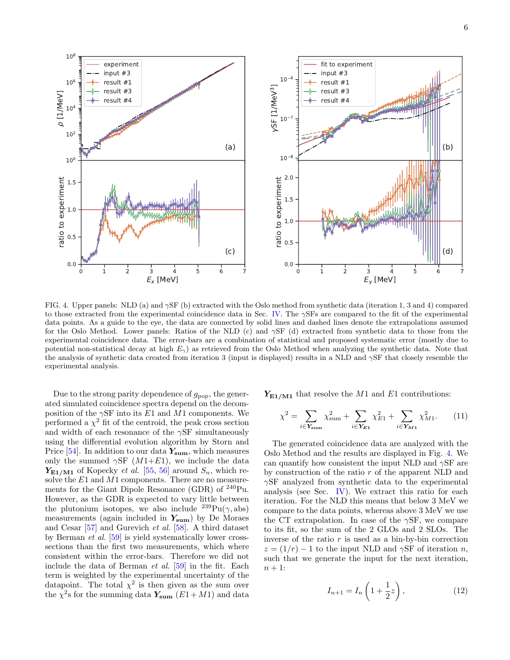

<span id="page-5-0"></span>FIG. 4. Upper panels: NLD (a) and  $\gamma$ SF (b) extracted with the Oslo method from synthetic data (iteration 1, 3 and 4) compared to those extracted from the experimental coincidence data in Sec. [IV.](#page-2-3) The γSFs are compared to the fit of the experimental data points. As a guide to the eye, the data are connected by solid lines and dashed lines denote the extrapolations assumed for the Oslo Method. Lower panels: Ratios of the NLD (c) and  $\gamma$ SF (d) extracted from synthetic data to those from the experimental coincidence data. The error-bars are a combination of statistical and proposed systematic error (mostly due to potential non-statistical decay at high  $E_{\gamma}$ ) as retrieved from the Oslo Method when analyzing the synthetic data. Note that the analysis of synthetic data created from iteration 3 (input is displayed) results in a NLD and  $\gamma$ SF that closely resemble the experimental analysis.

Due to the strong parity dependence of  $g_{\text{pop}}$ , the generated simulated coincidence spectra depend on the decomposition of the  $\gamma$ SF into its E1 and M1 components. We performed a  $\chi^2$  fit of the centroid, the peak cross section and width of each resonance of the  $\gamma$ SF simultaneously using the differential evolution algorithm by Storn and Price [\[54\]](#page-9-19). In addition to our data  $Y_{\text{sum}}$ , which measures only the summed  $\gamma$ SF (*M*1+*E*1), we include the data  $Y_{E1/M1}$  of Kopecky *et al.* [\[55,](#page-9-20) [56\]](#page-9-21) around  $S_n$ , which resolve the  $E1$  and  $M1$  components. There are no measurements for the Giant Dipole Resonance (GDR) of <sup>240</sup>Pu. However, as the GDR is expected to vary little between the plutonium isotopes, we also include  $^{239}Pu(\gamma, abs)$ measurements (again included in  $Y_{\text{sum}}$ ) by De Moraes and Cesar [\[57\]](#page-9-22) and Gurevich et al. [\[58\]](#page-9-23). A third dataset by Berman et al. [\[59\]](#page-9-24) is yield systematically lower crosssections than the first two measurements, which where consistent within the error-bars. Therefore we did not include the data of Berman et al. [\[59\]](#page-9-24) in the fit. Each term is weighted by the experimental uncertainty of the datapoint. The total  $\chi^2$  is then given as the sum over the  $\chi^2$ s for the summing data  $Y_{\text{sum}}$  (E1+M1) and data

 $Y_{E1/M1}$  that resolve the M1 and E1 contributions:

$$
\chi^2 = \sum_{i \in \mathbf{Y}_{\text{sum}}} \chi^2_{\text{sum}} + \sum_{i \in \mathbf{Y}_{E1}} \chi^2_{E1} + \sum_{i \in \mathbf{Y}_{M1}} \chi^2_{M1}. \tag{11}
$$

The generated coincidence data are analyzed with the Oslo Method and the results are displayed in Fig. [4.](#page-5-0) We can quantify how consistent the input NLD and  $\gamma$ SF are by construction of the ratio  $r$  of the apparent NLD and  $\gamma$ SF analyzed from synthetic data to the experimental analysis (see Sec. [IV\)](#page-2-3). We extract this ratio for each iteration. For the NLD this means that below 3 MeV we compare to the data points, whereas above 3 MeV we use the CT extrapolation. In case of the  $\gamma$ SF, we compare to its fit, so the sum of the 2 GLOs and 2 SLOs. The inverse of the ratio  $r$  is used as a bin-by-bin correction  $z = (1/r) - 1$  to the input NLD and  $\gamma$ SF of iteration *n*, such that we generate the input for the next iteration,  $n + 1$ :

$$
I_{n+1} = I_n \left( 1 + \frac{1}{2} z \right),
$$
 (12)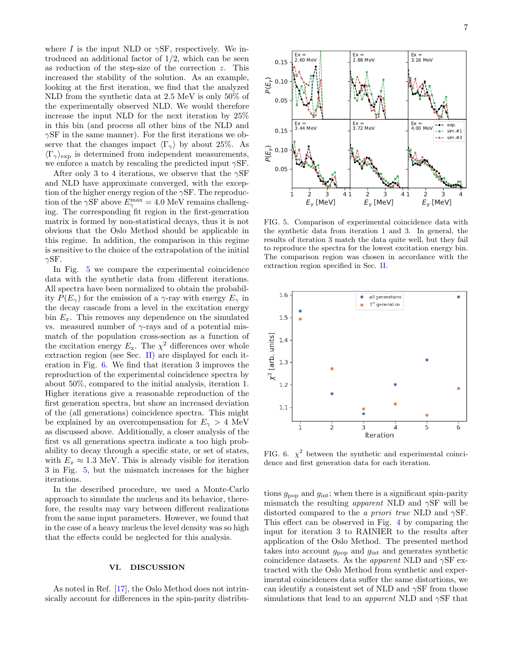where I is the input NLD or  $\gamma$ SF, respectively. We introduced an additional factor of  $1/2$ , which can be seen as reduction of the step-size of the correction z. This increased the stability of the solution. As an example, looking at the first iteration, we find that the analyzed NLD from the synthetic data at 2.5 MeV is only 50% of the experimentally observed NLD. We would therefore increase the input NLD for the next iteration by 25% in this bin (and process all other bins of the NLD and  $\gamma$ SF in the same manner). For the first iterations we observe that the changes impact  $\langle \Gamma_{\gamma} \rangle$  by about 25%. As  $\langle \Gamma_{\gamma} \rangle_{\text{exp}}$  is determined from independent measurements, we enforce a match by rescaling the predicted input  $\gamma$ SF.

After only 3 to 4 iterations, we observe that the  $\gamma$ SF and NLD have approximate converged, with the exception of the higher energy region of the  $\gamma$ SF. The reproduction of the  $\gamma$ SF above  $E_{\gamma}^{\max} = 4.0$  MeV remains challenging. The corresponding fit region in the first-generation matrix is formed by non-statistical decays, thus it is not obvious that the Oslo Method should be applicable in this regime. In addition, the comparison in this regime is sensitive to the choice of the extrapolation of the initial  $\gamma$ SF.

In Fig. [5](#page-6-0) we compare the experimental coincidence data with the synthetic data from different iterations. All spectra have been normalized to obtain the probability  $P(E_{\gamma})$  for the emission of a  $\gamma$ -ray with energy  $E_{\gamma}$  in the decay cascade from a level in the excitation energy bin  $E_x$ . This removes any dependence on the simulated vs. measured number of  $\gamma$ -rays and of a potential mismatch of the population cross-section as a function of the excitation energy  $E_x$ . The  $\chi^2$  differences over whole extraction region (see Sec. [II\)](#page-1-1) are displayed for each iteration in Fig. [6.](#page-6-1) We find that iteration 3 improves the reproduction of the experimental coincidence spectra by about 50%, compared to the initial analysis, iteration 1. Higher iterations give a reasonable reproduction of the first generation spectra, but show an increased deviation of the (all generations) coincidence spectra. This might be explained by an overcompensation for  $E_{\gamma} > 4$  MeV as discussed above. Additionally, a closer analysis of the first vs all generations spectra indicate a too high probability to decay through a specific state, or set of states, with  $E_x \approx 1.3$  MeV. This is already visible for iteration 3 in Fig. [5,](#page-6-0) but the mismatch increases for the higher iterations.

In the described procedure, we used a Monte-Carlo approach to simulate the nucleus and its behavior, therefore, the results may vary between different realizations from the same input parameters. However, we found that in the case of a heavy nucleus the level density was so high that the effects could be neglected for this analysis.

#### VI. DISCUSSION

As noted in Ref. [\[17\]](#page-8-14), the Oslo Method does not intrinsically account for differences in the spin-parity distribu-



<span id="page-6-0"></span>FIG. 5. Comparison of experimental coincidence data with the synthetic data from iteration 1 and 3. In general, the results of iteration 3 match the data quite well, but they fail to reproduce the spectra for the lowest excitation energy bin. The comparison region was chosen in accordance with the extraction region specified in Sec. [II.](#page-1-1)



<span id="page-6-1"></span>FIG. 6.  $\chi^2$  between the synthetic and experimental coincidence and first generation data for each iteration.

tions  $g_{\text{pop}}$  and  $g_{\text{int}}$ ; when there is a significant spin-parity mismatch the resulting *apparent* NLD and  $\gamma$ SF will be distorted compared to the a priori true NLD and  $\gamma$ SF. This effect can be observed in Fig. [4](#page-5-0) by comparing the input for iteration 3 to RAINIER to the results after application of the Oslo Method. The presented method takes into account  $g_{\text{pop}}$  and  $g_{\text{int}}$  and generates synthetic coincidence datasets. As the *apparent* NLD and  $\gamma$ SF extracted with the Oslo Method from synthetic and experimental coincidences data suffer the same distortions, we can identify a consistent set of NLD and  $\gamma$ SF from those simulations that lead to an *apparent* NLD and  $\gamma$ SF that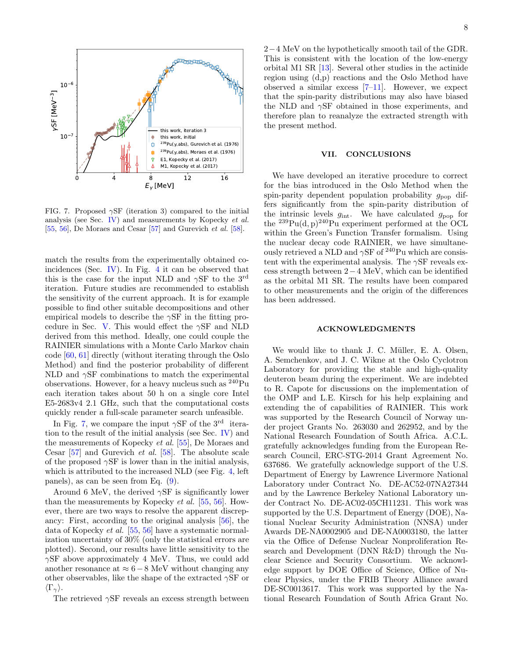

<span id="page-7-0"></span>FIG. 7. Proposed  $\gamma$ SF (iteration 3) compared to the initial analysis (see Sec. [IV\)](#page-2-3) and measurements by Kopecky et al. [\[55,](#page-9-20) [56\]](#page-9-21), De Moraes and Cesar [\[57\]](#page-9-22) and Gurevich et al. [\[58\]](#page-9-23).

match the results from the experimentally obtained coincidences (Sec. [IV\)](#page-2-3). In Fig. [4](#page-5-0) it can be observed that this is the case for the input NLD and  $\gamma$ SF to the 3<sup>rd</sup> iteration. Future studies are recommended to establish the sensitivity of the current approach. It is for example possible to find other suitable decompositions and other empirical models to describe the  $\gamma$ SF in the fitting pro-cedure in Sec. [V.](#page-3-0) This would effect the  $\gamma$ SF and NLD derived from this method. Ideally, one could couple the RAINIER simulations with a Monte Carlo Markov chain code [\[60,](#page-9-25) [61\]](#page-9-26) directly (without iterating through the Oslo Method) and find the posterior probability of different NLD and  $\gamma$ SF combinations to match the experimental observations. However, for a heavy nucleus such as <sup>240</sup>Pu each iteration takes about 50 h on a single core Intel E5-2683v4 2.1 GHz, such that the computational costs quickly render a full-scale parameter search unfeasible.

In Fig. [7,](#page-7-0) we compare the input  $\gamma$ SF of the 3<sup>rd</sup> iteration to the result of the initial analysis (see Sec. [IV\)](#page-2-3) and the measurements of Kopecky et al. [\[55\]](#page-9-20), De Moraes and Cesar [\[57\]](#page-9-22) and Gurevich et al. [\[58\]](#page-9-23). The absolute scale of the proposed  $\gamma$ SF is lower than in the initial analysis. which is attributed to the increased NLD (see Fig. [4,](#page-5-0) left panels), as can be seen from Eq. [\(9\)](#page-3-2).

Around 6 MeV, the derived  $\gamma$ SF is significantly lower than the measurements by Kopecky et al. [\[55,](#page-9-20) [56\]](#page-9-21). However, there are two ways to resolve the apparent discrepancy: First, according to the original analysis [\[56\]](#page-9-21), the data of Kopecky et al. [\[55,](#page-9-20) [56\]](#page-9-21) have a systematic normalization uncertainty of 30% (only the statistical errors are plotted). Second, our results have little sensitivity to the  $\gamma$ SF above approximately 4 MeV. Thus, we could add another resonance at  $\approx 6-8$  MeV without changing any other observables, like the shape of the extracted  $\gamma$ SF or  $\langle \Gamma_{\gamma} \rangle$ .

The retrieved  $\gamma$ SF reveals an excess strength between

2−4 MeV on the hypothetically smooth tail of the GDR. This is consistent with the location of the low-energy orbital M1 SR [\[13\]](#page-8-10). Several other studies in the actinide region using (d,p) reactions and the Oslo Method have observed a similar excess  $[7-11]$  $[7-11]$ . However, we expect that the spin-parity distributions may also have biased the NLD and  $\gamma$ SF obtained in those experiments, and therefore plan to reanalyze the extracted strength with the present method.

#### VII. CONCLUSIONS

We have developed an iterative procedure to correct for the bias introduced in the Oslo Method when the spin-parity dependent population probability  $g_{\text{pop}}$  differs significantly from the spin-parity distribution of the intrinsic levels  $g_{\text{int}}$ . We have calculated  $g_{\text{pop}}$  for the  $^{239}Pu(d, p)^{240}Pu$  experiment performed at the OCL within the Green's Function Transfer formalism. Using the nuclear decay code RAINIER, we have simultaneously retrieved a NLD and  $\gamma$ SF of <sup>240</sup>Pu which are consistent with the experimental analysis. The  $\gamma{\rm SF}$  reveals excess strength between 2−4 MeV, which can be identified as the orbital M1 SR. The results have been compared to other measurements and the origin of the differences has been addressed.

#### ACKNOWLEDGMENTS

We would like to thank J. C. Müller, E. A. Olsen, A. Semchenkov, and J. C. Wikne at the Oslo Cyclotron Laboratory for providing the stable and high-quality deuteron beam during the experiment. We are indebted to R. Capote for discussions on the implementation of the OMP and L.E. Kirsch for his help explaining and extending the of capabilities of RAINIER. This work was supported by the Research Council of Norway under project Grants No. 263030 and 262952, and by the National Research Foundation of South Africa. A.C.L. gratefully acknowledges funding from the European Research Council, ERC-STG-2014 Grant Agreement No. 637686. We gratefully acknowledge support of the U.S. Department of Energy by Lawrence Livermore National Laboratory under Contract No. DE-AC52-07NA27344 and by the Lawrence Berkeley National Laboratory under Contract No. DE-AC02-05CH11231. This work was supported by the U.S. Department of Energy (DOE), National Nuclear Security Administration (NNSA) under Awards DE-NA0002905 and DE-NA0003180, the latter via the Office of Defense Nuclear Nonproliferation Research and Development (DNN R&D) through the Nuclear Science and Security Consortium. We acknowledge support by DOE Office of Science, Office of Nuclear Physics, under the FRIB Theory Alliance award DE-SC0013617. This work was supported by the National Research Foundation of South Africa Grant No.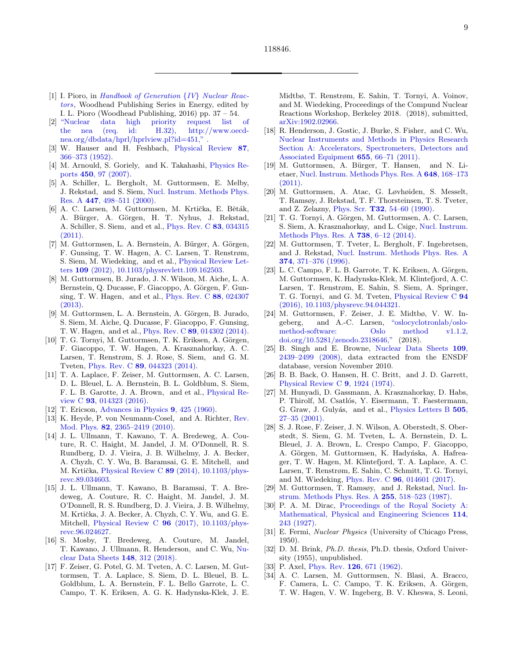9

- <span id="page-8-0"></span>[1] I. Pioro, in [Handbook of Generation](http://dx.doi.org/ https://doi.org/10.1016/B978-0-08-100149-3.00002-1) {IV} Nuclear Reac[tors](http://dx.doi.org/ https://doi.org/10.1016/B978-0-08-100149-3.00002-1), Woodhead Publishing Series in Energy, edited by I. L. Pioro (Woodhead Publishing, 2016) pp. 37 – 54.
- <span id="page-8-1"></span>[2] ["Nuclear data high priority request list of](http://www.oecd-nea.org/dbdata/hprl/hprlview.pl?ID=451) [the nea \(req. id: H.32\), http://www.oecd](http://www.oecd-nea.org/dbdata/hprl/hprlview.pl?ID=451)[nea.org/dbdata/hprl/hprlview.pl?id=451,"](http://www.oecd-nea.org/dbdata/hprl/hprlview.pl?ID=451) .
- <span id="page-8-2"></span>[3] W. Hauser and H. Feshbach, [Physical Review](http://dx.doi.org/10.1103/physrev.87.366) 87, [366–373 \(1952\).](http://dx.doi.org/10.1103/physrev.87.366)
- <span id="page-8-3"></span>[4] M. Arnould, S. Goriely, and K. Takahashi, [Physics Re](http://dx.doi.org/10.1016/j.physrep.2007.06.002)ports 450[, 97 \(2007\).](http://dx.doi.org/10.1016/j.physrep.2007.06.002)
- <span id="page-8-4"></span>[5] A. Schiller, L. Bergholt, M. Guttormsen, E. Melby, J. Rekstad, and S. Siem, [Nucl. Instrum. Methods Phys.](http://dx.doi.org/ 10.1016/s0168-9002(99)01187-0) Res. A 447[, 498–511 \(2000\).](http://dx.doi.org/ 10.1016/s0168-9002(99)01187-0)
- <span id="page-8-5"></span>[6] A. C. Larsen, M. Guttormsen, M. Krtička, E. Běták, A. Bürger, A. Görgen, H. T. Nyhus, J. Rekstad, A. Schiller, S. Siem, and et al., [Phys. Rev. C](http://dx.doi.org/ 10.1103/physrevc.83.034315) 83, 034315  $(2011).$
- <span id="page-8-6"></span>[7] M. Guttormsen, L. A. Bernstein, A. Bürger, A. Görgen, F. Gunsing, T. W. Hagen, A. C. Larsen, T. Renstrøm, S. Siem, M. Wiedeking, and et al., [Physical Review Let](http://dx.doi.org/10.1103/physrevlett.109.162503)ters 109 [\(2012\), 10.1103/physrevlett.109.162503.](http://dx.doi.org/10.1103/physrevlett.109.162503)
- <span id="page-8-32"></span>[8] M. Guttormsen, B. Jurado, J. N. Wilson, M. Aiche, L. A. Bernstein, Q. Ducasse, F. Giacoppo, A. Görgen, F. Gunsing, T. W. Hagen, and et al., [Phys. Rev. C](http://dx.doi.org/10.1103/physrevc.88.024307) 88, 024307 [\(2013\).](http://dx.doi.org/10.1103/physrevc.88.024307)
- [9] M. Guttormsen, L. A. Bernstein, A. Görgen, B. Jurado, S. Siem, M. Aiche, Q. Ducasse, F. Giacoppo, F. Gunsing, T. W. Hagen, and et al., Phys. Rev. C 89[, 014302 \(2014\).](http://dx.doi.org/10.1103/physrevc.89.014302)
- <span id="page-8-7"></span>[10] T. G. Tornyi, M. Guttormsen, T. K. Eriksen, A. Görgen, F. Giacoppo, T. W. Hagen, A. Krasznahorkay, A. C. Larsen, T. Renstrøm, S. J. Rose, S. Siem, and G. M. Tveten, Phys. Rev. C 89[, 044323 \(2014\).](http://dx.doi.org/ 10.1103/physrevc.89.044323)
- <span id="page-8-8"></span>[11] T. A. Laplace, F. Zeiser, M. Guttormsen, A. C. Larsen, D. L. Bleuel, L. A. Bernstein, B. L. Goldblum, S. Siem, F. L. B. Garotte, J. A. Brown, and et al., [Physical Re](http://dx.doi.org/10.1103/physrevc.93.014323)view C 93[, 014323 \(2016\).](http://dx.doi.org/10.1103/physrevc.93.014323)
- <span id="page-8-9"></span>[12] T. Ericson, [Advances in Physics](http://dx.doi.org/10.1080/00018736000101239) 9, 425 (1960).
- <span id="page-8-10"></span>[13] K. Heyde, P. von Neumann-Cosel, and A. Richter, [Rev.](http://dx.doi.org/10.1103/revmodphys.82.2365) Mod. Phys. 82[, 2365–2419 \(2010\).](http://dx.doi.org/10.1103/revmodphys.82.2365)
- <span id="page-8-11"></span>[14] J. L. Ullmann, T. Kawano, T. A. Bredeweg, A. Couture, R. C. Haight, M. Jandel, J. M. O'Donnell, R. S. Rundberg, D. J. Vieira, J. B. Wilhelmy, J. A. Becker, A. Chyzh, C. Y. Wu, B. Baramsai, G. E. Mitchell, and M. Krtička, Physical Review C  $89$  [\(2014\), 10.1103/phys](http://dx.doi.org/ 10.1103/physrevc.89.034603)[revc.89.034603.](http://dx.doi.org/ 10.1103/physrevc.89.034603)
- <span id="page-8-12"></span>[15] J. L. Ullmann, T. Kawano, B. Baramsai, T. A. Bredeweg, A. Couture, R. C. Haight, M. Jandel, J. M. O'Donnell, R. S. Rundberg, D. J. Vieira, J. B. Wilhelmy, M. Krtička, J. A. Becker, A. Chyzh, C. Y. Wu, and G. E. Mitchell, Physical Review C 96 [\(2017\), 10.1103/phys](http://dx.doi.org/ 10.1103/physrevc.96.024627)[revc.96.024627.](http://dx.doi.org/ 10.1103/physrevc.96.024627)
- <span id="page-8-13"></span>[16] S. Mosby, T. Bredeweg, A. Couture, M. Jandel, T. Kawano, J. Ullmann, R. Henderson, and C. Wu, [Nu](http://dx.doi.org/10.1016/j.nds.2018.02.007)[clear Data Sheets](http://dx.doi.org/10.1016/j.nds.2018.02.007) 148, 312 (2018).
- <span id="page-8-14"></span>[17] F. Zeiser, G. Potel, G. M. Tveten, A. C. Larsen, M. Guttormsen, T. A. Laplace, S. Siem, D. L. Bleuel, B. L. Goldblum, L. A. Bernstein, F. L. Bello Garrote, L. C. Campo, T. K. Eriksen, A. G. K. Hadynska-Klek, J. E.

Midtbø, T. Renstrøm, E. Sahin, T. Tornyi, A. Voinov, and M. Wiedeking, Proceedings of the Compund Nuclear Reactions Workshop, Berkeley 2018. (2018), submitted, [arXiv:1902.02966.](http://arxiv.org/abs/arXiv:1902.02966)

- <span id="page-8-15"></span>[18] R. Henderson, J. Gostic, J. Burke, S. Fisher, and C. Wu, [Nuclear Instruments and Methods in Physics Research](http://dx.doi.org/ 10.1016/j.nima.2011.06.023) [Section A: Accelerators, Spectrometers, Detectors and](http://dx.doi.org/ 10.1016/j.nima.2011.06.023) [Associated Equipment](http://dx.doi.org/ 10.1016/j.nima.2011.06.023) 655, 66–71 (2011).
- <span id="page-8-16"></span>[19] M. Guttormsen, A. Bürger, T. Hansen, and N. Lietaer, [Nucl. Instrum. Methods Phys. Res. A](http://dx.doi.org/ 10.1016/j.nima.2011.05.055) 648, 168–173  $(2011).$
- <span id="page-8-17"></span>[20] M. Guttormsen, A. Atac, G. Løvhøiden, S. Messelt, T. Ramsøy, J. Rekstad, T. F. Thorsteinsen, T. S. Tveter, and Z. Zelazny, Phys. Scr. T32[, 54–60 \(1990\).](http://dx.doi.org/ 10.1088/0031-8949/1990/t32/010)
- <span id="page-8-18"></span>[21] T. G. Tornyi, A. Görgen, M. Guttormsen, A. C. Larsen, S. Siem, A. Krasznahorkay, and L. Csige, [Nucl. Instrum.](http://dx.doi.org/10.1016/j.nima.2013.12.005) [Methods Phys. Res. A](http://dx.doi.org/10.1016/j.nima.2013.12.005) 738, 6–12 (2014).
- <span id="page-8-19"></span>[22] M. Guttormsen, T. Tveter, L. Bergholt, F. Ingebretsen, and J. Rekstad, [Nucl. Instrum. Methods Phys. Res. A](http://dx.doi.org/ 10.1016/0168-9002(96)00197-0) 374[, 371–376 \(1996\).](http://dx.doi.org/ 10.1016/0168-9002(96)00197-0)
- <span id="page-8-20"></span>[23] L. C. Campo, F. L. B. Garrote, T. K. Eriksen, A. Görgen, M. Guttormsen, K. Hadynska-Klek, M. Klintefjord, A. C. Larsen, T. Renstrøm, E. Sahin, S. Siem, A. Springer, T. G. Tornyi, and G. M. Tveten, [Physical Review C](http://dx.doi.org/10.1103/physrevc.94.044321) 94 [\(2016\), 10.1103/physrevc.94.044321.](http://dx.doi.org/10.1103/physrevc.94.044321)
- <span id="page-8-21"></span>[24] M. Guttormsen, F. Zeiser, J. E. Midtbø, V. W. Ingeberg, and A.-C. Larsen, ["oslocyclotronlab/oslo](http://dx.doi.org/ 10.5281/zenodo.2318646)[method-software: Oslo method v1.1.2,](http://dx.doi.org/ 10.5281/zenodo.2318646) [doi.org/10.5281/zenodo.2318646,"](http://dx.doi.org/ 10.5281/zenodo.2318646) (2018).
- <span id="page-8-22"></span>[25] B. Singh and E. Browne, [Nuclear Data Sheets](http://dx.doi.org/10.1016/j.nds.2008.09.002) 109, [2439–2499 \(2008\),](http://dx.doi.org/10.1016/j.nds.2008.09.002) data extracted from the ENSDF database, version November 2010.
- <span id="page-8-23"></span>[26] B. B. Back, O. Hansen, H. C. Britt, and J. D. Garrett, [Physical Review C](http://dx.doi.org/10.1103/physrevc.9.1924) 9, 1924 (1974).
- <span id="page-8-24"></span>[27] M. Hunyadi, D. Gassmann, A. Krasznahorkay, D. Habs, P. Thirolf, M. Csatlós, Y. Eisermann, T. Faestermann, G. Graw, J. Gulyás, and et al., [Physics Letters B](http://dx.doi.org/10.1016/s0370-2693(01)00341-0) 505, [27–35 \(2001\).](http://dx.doi.org/10.1016/s0370-2693(01)00341-0)
- <span id="page-8-25"></span>[28] S. J. Rose, F. Zeiser, J. N. Wilson, A. Oberstedt, S. Oberstedt, S. Siem, G. M. Tveten, L. A. Bernstein, D. L. Bleuel, J. A. Brown, L. Crespo Campo, F. Giacoppo, A. Görgen, M. Guttormsen, K. Hadyńska, A. Hafreager, T. W. Hagen, M. Klintefjord, T. A. Laplace, A. C. Larsen, T. Renstrøm, E. Sahin, C. Schmitt, T. G. Tornyi, and M. Wiedeking, Phys. Rev. C 96[, 014601 \(2017\).](http://dx.doi.org/10.1103/PhysRevC.96.014601)
- <span id="page-8-26"></span>[29] M. Guttormsen, T. Ramsøy, and J. Rekstad, [Nucl. In](http://dx.doi.org/10.1016/0168-9002(87)91221-6)[strum. Methods Phys. Res. A](http://dx.doi.org/10.1016/0168-9002(87)91221-6) 255, 518–523 (1987).
- <span id="page-8-27"></span>[30] P. A. M. Dirac, [Proceedings of the Royal Society A:](http://dx.doi.org/10.1098/rspa.1927.0039) [Mathematical, Physical and Engineering Sciences](http://dx.doi.org/10.1098/rspa.1927.0039) 114, [243 \(1927\).](http://dx.doi.org/10.1098/rspa.1927.0039)
- <span id="page-8-28"></span>[31] E. Fermi, Nuclear Physics (University of Chicago Press, 1950).
- <span id="page-8-29"></span>[32] D. M. Brink, Ph.D. thesis, Ph.D. thesis, Oxford University (1955), unpublished.
- <span id="page-8-30"></span>[33] P. Axel, Phys. Rev. **126**[, 671 \(1962\).](http://dx.doi.org/10.1103/physrev.126.671)
- <span id="page-8-31"></span>[34] A. C. Larsen, M. Guttormsen, N. Blasi, A. Bracco, F. Camera, L. C. Campo, T. K. Eriksen, A. Görgen, T. W. Hagen, V. W. Ingeberg, B. V. Kheswa, S. Leoni,